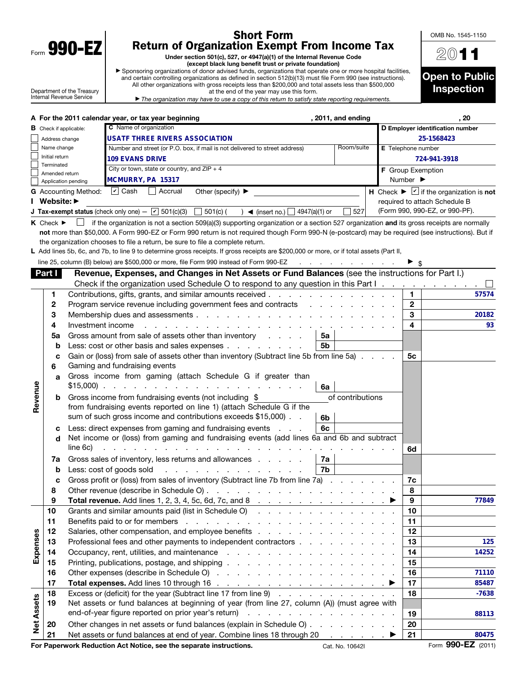| Form | 990-<br>υ |  |
|------|-----------|--|

## Short Form Return of Organization Exempt From Income Tax

Under section 501(c), 527, or 4947(a)(1) of the Internal Revenue Code (except black lung benefit trust or private foundation)

▶ Sponsoring organizations of donor advised funds, organizations that operate one or more hospital facilities, All other organizations with gross receipts less than \$200,000 and total assets less than \$500,000

2011 to Public pection

OMB No. 1545-1150

| Department of the Treasury<br>Internal Revenue Service |                   | oponsoring organizations or donor advised funds, organizations that operate one or more hospital facilities,<br>and certain controlling organizations as defined in section 512(b)(13) must file Form 990 (see instructions).<br>All other organizations with gross receipts less than \$200,000 and total assets less than \$500,000<br>at the end of the year may use this form.<br>The organization may have to use a copy of this return to satisfy state reporting requirements.                                                                                                                                                                |            |                              | <b>Open to Public</b><br><b>Inspection</b>                                                        |
|--------------------------------------------------------|-------------------|------------------------------------------------------------------------------------------------------------------------------------------------------------------------------------------------------------------------------------------------------------------------------------------------------------------------------------------------------------------------------------------------------------------------------------------------------------------------------------------------------------------------------------------------------------------------------------------------------------------------------------------------------|------------|------------------------------|---------------------------------------------------------------------------------------------------|
|                                                        |                   | A For the 2011 calendar year, or tax year beginning<br>, 2011, and ending                                                                                                                                                                                                                                                                                                                                                                                                                                                                                                                                                                            |            |                              | .20                                                                                               |
| <b>B</b> Check if applicable:                          |                   | C Name of organization                                                                                                                                                                                                                                                                                                                                                                                                                                                                                                                                                                                                                               |            |                              | D Employer identification number                                                                  |
| Address change                                         |                   | <b>USATF THREE RIVERS ASSOCIATION</b>                                                                                                                                                                                                                                                                                                                                                                                                                                                                                                                                                                                                                |            |                              | 25-1568423                                                                                        |
| Name change                                            |                   | Number and street (or P.O. box, if mail is not delivered to street address)                                                                                                                                                                                                                                                                                                                                                                                                                                                                                                                                                                          | Room/suite | E Telephone number           |                                                                                                   |
| Initial return<br>Terminated                           |                   | <b>109 EVANS DRIVE</b>                                                                                                                                                                                                                                                                                                                                                                                                                                                                                                                                                                                                                               |            |                              | 724-941-3918                                                                                      |
| Amended return                                         |                   | City or town, state or country, and $ZIP + 4$                                                                                                                                                                                                                                                                                                                                                                                                                                                                                                                                                                                                        |            | <b>F</b> Group Exemption     |                                                                                                   |
| Application pending                                    |                   | MCMURRY, PA 15317                                                                                                                                                                                                                                                                                                                                                                                                                                                                                                                                                                                                                                    |            | Number $\blacktriangleright$ |                                                                                                   |
| <b>G</b> Accounting Method:<br>Website: ▶              |                   | $\overline{V}$ Cash<br>Accrual<br>Other (specify) $\blacktriangleright$                                                                                                                                                                                                                                                                                                                                                                                                                                                                                                                                                                              |            |                              | H Check $\blacktriangleright \square$ if the organization is not<br>required to attach Schedule B |
|                                                        |                   | <b>J Tax-exempt status</b> (check only one) $ \overline{v}$ 501(c)(3) $\Box$ 501(c) (<br>$\lim_{h \to 0}$ (insert no.) $\lim_{h \to 0} 4947(a)(1)$ or                                                                                                                                                                                                                                                                                                                                                                                                                                                                                                | 527        |                              | (Form 990, 990-EZ, or 990-PF).                                                                    |
| $K$ Check $\blacktriangleright$                        |                   | if the organization is not a section 509(a)(3) supporting organization or a section 527 organization and its gross receipts are normally<br>not more than \$50,000. A Form 990-EZ or Form 990 return is not required though Form 990-N (e-postcard) may be required (see instructions). But if<br>the organization chooses to file a return, be sure to file a complete return.<br>L Add lines 5b, 6c, and 7b, to line 9 to determine gross receipts. If gross receipts are \$200,000 or more, or if total assets (Part II,<br>line 25, column (B) below) are \$500,000 or more, file Form 990 instead of Form 990-EZ<br>and a strong control of the |            |                              |                                                                                                   |
| Part I                                                 |                   | Revenue, Expenses, and Changes in Net Assets or Fund Balances (see the instructions for Part I.)                                                                                                                                                                                                                                                                                                                                                                                                                                                                                                                                                     |            |                              |                                                                                                   |
|                                                        |                   | Check if the organization used Schedule O to respond to any question in this Part $\mathsf{I}$ . $\ldots$ . $\ldots$                                                                                                                                                                                                                                                                                                                                                                                                                                                                                                                                 |            |                              |                                                                                                   |
| 1                                                      |                   | Contributions, gifts, grants, and similar amounts received                                                                                                                                                                                                                                                                                                                                                                                                                                                                                                                                                                                           |            | 1.                           | 57574                                                                                             |
| 2                                                      |                   | Program service revenue including government fees and contracts<br><u>in the second contract of the second contract of the second contract of the second contract of the second contract of the second contract of the second contract of the second contract of the second contract of the second </u>                                                                                                                                                                                                                                                                                                                                              |            | $\mathbf{2}$                 |                                                                                                   |
| 3                                                      |                   |                                                                                                                                                                                                                                                                                                                                                                                                                                                                                                                                                                                                                                                      |            | 3                            | 20182                                                                                             |
| 4                                                      | Investment income | design and contract and contract and contract and                                                                                                                                                                                                                                                                                                                                                                                                                                                                                                                                                                                                    |            | 4                            | 93                                                                                                |
| 5a                                                     |                   | Gross amount from sale of assets other than inventory entitled by the control of the Gross amount from sale of<br>5a                                                                                                                                                                                                                                                                                                                                                                                                                                                                                                                                 |            |                              |                                                                                                   |
| b                                                      |                   | 5b<br>Less: cost or other basis and sales expenses                                                                                                                                                                                                                                                                                                                                                                                                                                                                                                                                                                                                   |            |                              |                                                                                                   |
| c<br>6                                                 |                   | Gain or (loss) from sale of assets other than inventory (Subtract line 5b from line 5a)<br>Gaming and fundraising events                                                                                                                                                                                                                                                                                                                                                                                                                                                                                                                             |            | 5с                           |                                                                                                   |

|                   | 6            | Gaming and fundraising events                                                                                                                                                                                                            |    |         |
|-------------------|--------------|------------------------------------------------------------------------------------------------------------------------------------------------------------------------------------------------------------------------------------------|----|---------|
|                   | $\mathbf{a}$ | Gross income from gaming (attach Schedule G if greater than<br>6а                                                                                                                                                                        |    |         |
| Revenue           | b            | Gross income from fundraising events (not including \$<br>of contributions<br>from fundraising events reported on line 1) (attach Schedule G if the<br>sum of such gross income and contributions exceeds \$15,000).<br>6 <sub>b</sub>   |    |         |
|                   | d            | Less: direct expenses from gaming and fundraising events<br>6с<br>Net income or (loss) from gaming and fundraising events (add lines 6a and 6b and subtract<br>line 6c)<br>a carrier and a carrier and a carrier and a carrier and a car | 6d |         |
|                   | 7a           | Gross sales of inventory, less returns and allowances<br>7a                                                                                                                                                                              |    |         |
|                   | b            | Less: cost of goods sold<br>7b                                                                                                                                                                                                           |    |         |
|                   | C            | Gross profit or (loss) from sales of inventory (Subtract line 7b from line 7a)                                                                                                                                                           | 7c |         |
|                   | 8            |                                                                                                                                                                                                                                          | 8  |         |
|                   | 9            |                                                                                                                                                                                                                                          | 9  | 77849   |
|                   | 10           | Grants and similar amounts paid (list in Schedule O) (Containment of the contact of the contact of the contact                                                                                                                           | 10 |         |
|                   | 11           |                                                                                                                                                                                                                                          | 11 |         |
|                   | 12           |                                                                                                                                                                                                                                          | 12 |         |
| Expenses          | 13           | Professional fees and other payments to independent contractors                                                                                                                                                                          | 13 | 125     |
|                   | 14           |                                                                                                                                                                                                                                          | 14 | 14252   |
|                   | 15           |                                                                                                                                                                                                                                          | 15 |         |
|                   | 16           |                                                                                                                                                                                                                                          | 16 | 71110   |
|                   | 17           |                                                                                                                                                                                                                                          | 17 | 85487   |
|                   | 18           | Excess or (deficit) for the year (Subtract line 17 from line 9)                                                                                                                                                                          | 18 | $-7638$ |
|                   | 19           | Net assets or fund balances at beginning of year (from line 27, column (A)) (must agree with                                                                                                                                             |    |         |
| <b>Net Assets</b> |              |                                                                                                                                                                                                                                          | 19 | 88113   |
|                   | 20           | Other changes in net assets or fund balances (explain in Schedule O)                                                                                                                                                                     | 20 |         |
|                   | 21           | Net assets or fund balances at end of year. Combine lines 18 through 20 ▶                                                                                                                                                                | 21 | 80475   |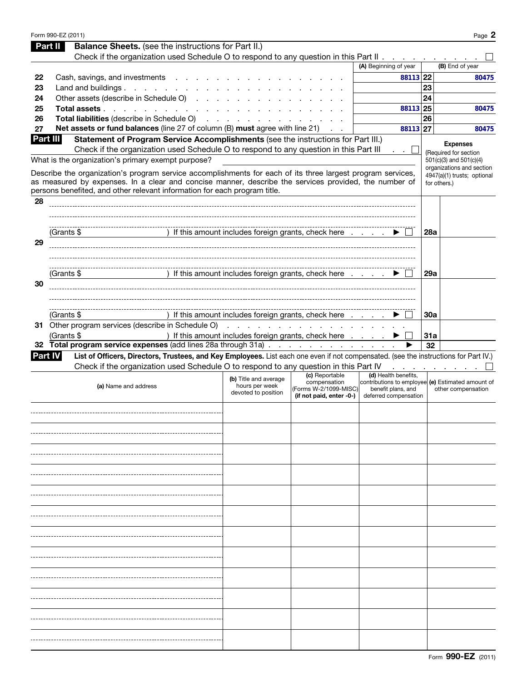|                | Form 990-EZ (2011)                                                                                                                                                                                                   |                                                                                     |                                       |                                                                         |            | Page 2                                           |
|----------------|----------------------------------------------------------------------------------------------------------------------------------------------------------------------------------------------------------------------|-------------------------------------------------------------------------------------|---------------------------------------|-------------------------------------------------------------------------|------------|--------------------------------------------------|
|                | <b>Balance Sheets.</b> (see the instructions for Part II.)<br>Part II                                                                                                                                                |                                                                                     |                                       |                                                                         |            |                                                  |
|                | Check if the organization used Schedule O to respond to any question in this Part II                                                                                                                                 |                                                                                     |                                       |                                                                         |            |                                                  |
|                |                                                                                                                                                                                                                      |                                                                                     |                                       | (A) Beginning of year                                                   |            | (B) End of year                                  |
| 22             | Cash, savings, and investments                                                                                                                                                                                       |                                                                                     |                                       | 88113 22                                                                |            | 80475                                            |
| 23             | Land and buildings.                                                                                                                                                                                                  |                                                                                     |                                       |                                                                         | 23         |                                                  |
| 24             | Other assets (describe in Schedule O)                                                                                                                                                                                |                                                                                     |                                       |                                                                         | 24         |                                                  |
| 25             | Total assets                                                                                                                                                                                                         |                                                                                     |                                       | 88113 25                                                                |            | 80475                                            |
| 26             | Total liabilities (describe in Schedule O)                                                                                                                                                                           |                                                                                     |                                       |                                                                         | 26         |                                                  |
| 27             | Net assets or fund balances (line 27 of column (B) must agree with line 21)                                                                                                                                          |                                                                                     |                                       | 88113 27                                                                |            | 80475                                            |
| Part III       | Statement of Program Service Accomplishments (see the instructions for Part III.)                                                                                                                                    |                                                                                     |                                       |                                                                         |            |                                                  |
|                | Check if the organization used Schedule O to respond to any question in this Part III                                                                                                                                |                                                                                     |                                       | $\cdot$ $\cdot$ $\bot$                                                  |            | <b>Expenses</b>                                  |
|                | What is the organization's primary exempt purpose?                                                                                                                                                                   |                                                                                     |                                       |                                                                         |            | (Required for section<br>501(c)(3) and 501(c)(4) |
|                |                                                                                                                                                                                                                      |                                                                                     |                                       |                                                                         |            | organizations and section                        |
|                | Describe the organization's program service accomplishments for each of its three largest program services,<br>as measured by expenses. In a clear and concise manner, describe the services provided, the number of |                                                                                     |                                       |                                                                         |            | 4947(a)(1) trusts; optional                      |
|                | persons benefited, and other relevant information for each program title.                                                                                                                                            |                                                                                     |                                       |                                                                         |            | for others.)                                     |
| 28             |                                                                                                                                                                                                                      |                                                                                     |                                       |                                                                         |            |                                                  |
|                |                                                                                                                                                                                                                      |                                                                                     |                                       |                                                                         |            |                                                  |
|                |                                                                                                                                                                                                                      |                                                                                     |                                       |                                                                         |            |                                                  |
|                | (Grants \$                                                                                                                                                                                                           | ) If this amount includes foreign grants, check here $\ldots$ $\blacktriangleright$ |                                       |                                                                         | <b>28a</b> |                                                  |
| 29             |                                                                                                                                                                                                                      |                                                                                     |                                       |                                                                         |            |                                                  |
|                |                                                                                                                                                                                                                      |                                                                                     |                                       |                                                                         |            |                                                  |
|                |                                                                                                                                                                                                                      |                                                                                     |                                       |                                                                         |            |                                                  |
|                | (Grants \$                                                                                                                                                                                                           | ) If this amount includes foreign grants, check here                                |                                       |                                                                         | <b>29a</b> |                                                  |
| 30             |                                                                                                                                                                                                                      |                                                                                     |                                       |                                                                         |            |                                                  |
|                |                                                                                                                                                                                                                      |                                                                                     |                                       |                                                                         |            |                                                  |
|                |                                                                                                                                                                                                                      |                                                                                     |                                       |                                                                         |            |                                                  |
|                | (Grants \$                                                                                                                                                                                                           | ) If this amount includes foreign grants, check here                                |                                       |                                                                         | 30a        |                                                  |
|                | 31 Other program services (describe in Schedule O)                                                                                                                                                                   |                                                                                     |                                       |                                                                         |            |                                                  |
|                | (Grants \$                                                                                                                                                                                                           | ) If this amount includes foreign grants, check here                                |                                       |                                                                         | 31a        |                                                  |
|                | 32 Total program service expenses (add lines 28a through 31a)                                                                                                                                                        |                                                                                     |                                       |                                                                         | 32         |                                                  |
| <b>Part IV</b> | List of Officers, Directors, Trustees, and Key Employees. List each one even if not compensated. (see the instructions for Part IV.)                                                                                 |                                                                                     |                                       |                                                                         |            |                                                  |
|                | Check if the organization used Schedule O to respond to any question in this Part IV                                                                                                                                 |                                                                                     |                                       |                                                                         |            | the contract of the contract of the              |
|                |                                                                                                                                                                                                                      | (b) Title and average                                                               | (c) Reportable                        | (d) Health benefits,                                                    |            |                                                  |
|                | (a) Name and address                                                                                                                                                                                                 | hours per week                                                                      | compensation<br>(Forms W-2/1099-MISC) | contributions to employee (e) Estimated amount of<br>benefit plans, and |            | other compensation                               |
|                |                                                                                                                                                                                                                      | devoted to position                                                                 | (if not paid, enter -0-)              | deferred compensation                                                   |            |                                                  |
|                |                                                                                                                                                                                                                      |                                                                                     |                                       |                                                                         |            |                                                  |
|                |                                                                                                                                                                                                                      |                                                                                     |                                       |                                                                         |            |                                                  |
|                |                                                                                                                                                                                                                      |                                                                                     |                                       |                                                                         |            |                                                  |
|                |                                                                                                                                                                                                                      |                                                                                     |                                       |                                                                         |            |                                                  |
|                |                                                                                                                                                                                                                      |                                                                                     |                                       |                                                                         |            |                                                  |
|                |                                                                                                                                                                                                                      |                                                                                     |                                       |                                                                         |            |                                                  |
|                |                                                                                                                                                                                                                      |                                                                                     |                                       |                                                                         |            |                                                  |
|                |                                                                                                                                                                                                                      |                                                                                     |                                       |                                                                         |            |                                                  |
|                |                                                                                                                                                                                                                      |                                                                                     |                                       |                                                                         |            |                                                  |
|                |                                                                                                                                                                                                                      |                                                                                     |                                       |                                                                         |            |                                                  |
|                |                                                                                                                                                                                                                      |                                                                                     |                                       |                                                                         |            |                                                  |
|                |                                                                                                                                                                                                                      |                                                                                     |                                       |                                                                         |            |                                                  |
|                |                                                                                                                                                                                                                      |                                                                                     |                                       |                                                                         |            |                                                  |
|                |                                                                                                                                                                                                                      |                                                                                     |                                       |                                                                         |            |                                                  |
|                |                                                                                                                                                                                                                      |                                                                                     |                                       |                                                                         |            |                                                  |
|                |                                                                                                                                                                                                                      |                                                                                     |                                       |                                                                         |            |                                                  |
|                |                                                                                                                                                                                                                      |                                                                                     |                                       |                                                                         |            |                                                  |
|                |                                                                                                                                                                                                                      |                                                                                     |                                       |                                                                         |            |                                                  |
|                |                                                                                                                                                                                                                      |                                                                                     |                                       |                                                                         |            |                                                  |
|                |                                                                                                                                                                                                                      |                                                                                     |                                       |                                                                         |            |                                                  |
|                |                                                                                                                                                                                                                      |                                                                                     |                                       |                                                                         |            |                                                  |
|                |                                                                                                                                                                                                                      |                                                                                     |                                       |                                                                         |            |                                                  |
|                |                                                                                                                                                                                                                      |                                                                                     |                                       |                                                                         |            |                                                  |
|                |                                                                                                                                                                                                                      |                                                                                     |                                       |                                                                         |            |                                                  |
|                |                                                                                                                                                                                                                      |                                                                                     |                                       |                                                                         |            |                                                  |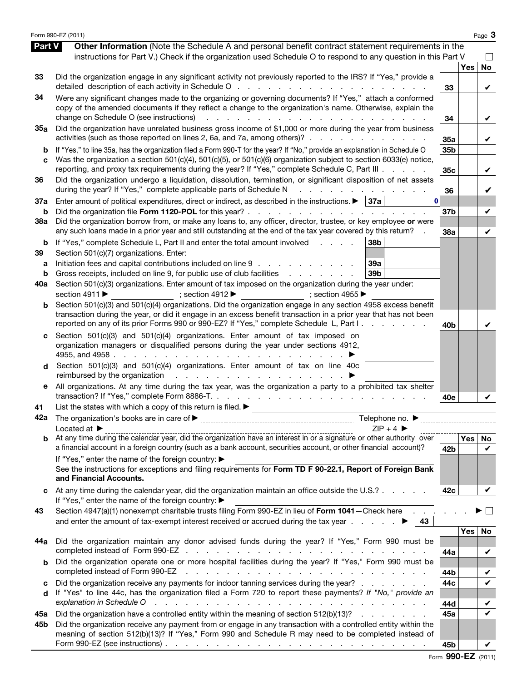|                          | Form 990-EZ (2011)                                                                                                                                                                                                                                                                                                                                                                                                                                                                                                                                     |                                    |            | Page 3                  |
|--------------------------|--------------------------------------------------------------------------------------------------------------------------------------------------------------------------------------------------------------------------------------------------------------------------------------------------------------------------------------------------------------------------------------------------------------------------------------------------------------------------------------------------------------------------------------------------------|------------------------------------|------------|-------------------------|
| <b>Part V</b>            | Other Information (Note the Schedule A and personal benefit contract statement requirements in the<br>instructions for Part V.) Check if the organization used Schedule O to respond to any question in this Part V                                                                                                                                                                                                                                                                                                                                    |                                    |            |                         |
| 33                       | Did the organization engage in any significant activity not previously reported to the IRS? If "Yes," provide a                                                                                                                                                                                                                                                                                                                                                                                                                                        | 33                                 | <b>Yes</b> | <b>No</b><br>V          |
| 34                       | Were any significant changes made to the organizing or governing documents? If "Yes," attach a conformed<br>copy of the amended documents if they reflect a change to the organization's name. Otherwise, explain the<br>change on Schedule O (see instructions)<br>and the company of the company of the<br>$\mathbf{1}$                                                                                                                                                                                                                              | 34                                 |            | V                       |
| 35a                      | Did the organization have unrelated business gross income of \$1,000 or more during the year from business<br>activities (such as those reported on lines 2, 6a, and 7a, among others)?                                                                                                                                                                                                                                                                                                                                                                | 35a                                |            | V                       |
| b<br>C                   | If "Yes," to line 35a, has the organization filed a Form 990-T for the year? If "No," provide an explanation in Schedule O<br>Was the organization a section 501(c)(4), 501(c)(5), or 501(c)(6) organization subject to section 6033(e) notice,<br>reporting, and proxy tax requirements during the year? If "Yes," complete Schedule C, Part III                                                                                                                                                                                                      | 35 <sub>b</sub><br>35 <sub>c</sub> |            | V                       |
| 36                       | Did the organization undergo a liquidation, dissolution, termination, or significant disposition of net assets<br>during the year? If "Yes," complete applicable parts of Schedule N<br>and a straight and a straight and                                                                                                                                                                                                                                                                                                                              | 36                                 |            | V                       |
| 37a<br>b                 | Enter amount of political expenditures, direct or indirect, as described in the instructions. $\blacktriangleright$   37a  <br>0<br>Did the organization file Form 1120-POL for this year?                                                                                                                                                                                                                                                                                                                                                             | 37b                                |            | V                       |
| 38a                      | Did the organization borrow from, or make any loans to, any officer, director, trustee, or key employee or were<br>any such loans made in a prior year and still outstanding at the end of the tax year covered by this return?                                                                                                                                                                                                                                                                                                                        | 38a                                |            | V                       |
| b<br>39<br>а<br>b<br>40a | If "Yes," complete Schedule L, Part II and enter the total amount involved<br>38 <sub>b</sub><br><b>Service Control</b><br>Section 501(c)(7) organizations. Enter:<br>Initiation fees and capital contributions included on line 9<br>39a<br>Gross receipts, included on line 9, for public use of club facilities exclude that the control of the Gross receipts, included on line 9, for public use of club facilities<br>39 <sub>b</sub><br>Section 501(c)(3) organizations. Enter amount of tax imposed on the organization during the year under: |                                    |            |                         |
|                          | section 4911 ▶<br>; section $4912 \blacktriangleright$<br>$\Rightarrow$ ; section 4955                                                                                                                                                                                                                                                                                                                                                                                                                                                                 |                                    |            |                         |
| b                        | Section 501(c)(3) and 501(c)(4) organizations. Did the organization engage in any section 4958 excess benefit<br>transaction during the year, or did it engage in an excess benefit transaction in a prior year that has not been<br>reported on any of its prior Forms 990 or 990-EZ? If "Yes," complete Schedule L, Part I.                                                                                                                                                                                                                          | 40 <sub>b</sub>                    |            | V                       |
|                          | Section 501(c)(3) and 501(c)(4) organizations. Enter amount of tax imposed on<br>organization managers or disqualified persons during the year under sections 4912,                                                                                                                                                                                                                                                                                                                                                                                    |                                    |            |                         |
| d                        | Section 501(c)(3) and 501(c)(4) organizations. Enter amount of tax on line 40c                                                                                                                                                                                                                                                                                                                                                                                                                                                                         |                                    |            |                         |
| е                        | All organizations. At any time during the tax year, was the organization a party to a prohibited tax shelter                                                                                                                                                                                                                                                                                                                                                                                                                                           | 40e                                |            |                         |
| 41<br>42a                | List the states with which a copy of this return is filed. $\blacktriangleright$<br>Telephone no. $\blacktriangleright$                                                                                                                                                                                                                                                                                                                                                                                                                                |                                    |            |                         |
|                          | $ZIP + 4$<br>Located at $\blacktriangleright$<br>$\frac{L}{L}$ at $\frac{L}{L}$ $\frac{L}{L}$ $\frac{L}{L}$ $\frac{L}{L}$ $\frac{L}{L}$ $\frac{L}{L}$ $\frac{L}{L}$ $\frac{L}{L}$ $\frac{L}{L}$ $\frac{L}{L}$ $\frac{L}{L}$ $\frac{L}{L}$ $\frac{L}{L}$ $\frac{L}{L}$ $\frac{L}{L}$ $\frac{L}{L}$ $\frac{L}{L}$ $\frac{L}{L}$ $\frac{L}{L}$ $\frac{L}{L}$ $\frac{L}{L}$<br>a financial account in a foreign country (such as a bank account, securities account, or other financial account)?                                                          | 42 <sub>b</sub>                    |            | Yes No                  |
|                          | If "Yes," enter the name of the foreign country: ▶<br>See the instructions for exceptions and filing requirements for Form TD F 90-22.1, Report of Foreign Bank<br>and Financial Accounts.                                                                                                                                                                                                                                                                                                                                                             |                                    |            | V                       |
|                          | At any time during the calendar year, did the organization maintain an office outside the U.S.?<br>If "Yes," enter the name of the foreign country: ▶                                                                                                                                                                                                                                                                                                                                                                                                  | 42c                                |            | V                       |
| 43                       | Section 4947(a)(1) nonexempt charitable trusts filing Form 990-EZ in lieu of Form 1041-Check here<br>and enter the amount of tax-exempt interest received or accrued during the tax year $\ldots$ , $\blacktriangleright$   43                                                                                                                                                                                                                                                                                                                         |                                    |            | $\mathbf{I}$            |
| 44a                      | Did the organization maintain any donor advised funds during the year? If "Yes," Form 990 must be                                                                                                                                                                                                                                                                                                                                                                                                                                                      | 44a                                | <b>Yes</b> | No<br>V                 |
|                          | Did the organization operate one or more hospital facilities during the year? If "Yes," Form 990 must be<br>completed instead of Form 990-EZ<br>a construction of the construction of the construction of the construction of the construction of the construction of the construction of the construction of the construction of the construction of the construction of the                                                                                                                                                                          | 44b                                |            | V                       |
| c<br>d                   | Did the organization receive any payments for indoor tanning services during the year?<br>If "Yes" to line 44c, has the organization filed a Form 720 to report these payments? If "No," provide an<br>explanation in Schedule O<br>والمتعاون والمتعاون والمتعاون والمتعاون والمتعاونة والمتعاونة والمتعاونة والمتعاونة والمتعاونة                                                                                                                                                                                                                     | 44c<br>44d                         |            | V<br>V                  |
| 45а                      | Did the organization have a controlled entity within the meaning of section 512(b)(13)?                                                                                                                                                                                                                                                                                                                                                                                                                                                                | 45a                                |            | $\overline{\mathbf{v}}$ |
| 45b                      | Did the organization receive any payment from or engage in any transaction with a controlled entity within the<br>meaning of section 512(b)(13)? If "Yes," Form 990 and Schedule R may need to be completed instead of<br>Form 990-EZ (see instructions) $\ldots$ $\ldots$ $\ldots$ $\ldots$ $\ldots$ $\ldots$ $\ldots$ $\ldots$ $\ldots$ $\ldots$ $\ldots$                                                                                                                                                                                            | 45b                                |            |                         |

Form 990-EZ (2011)